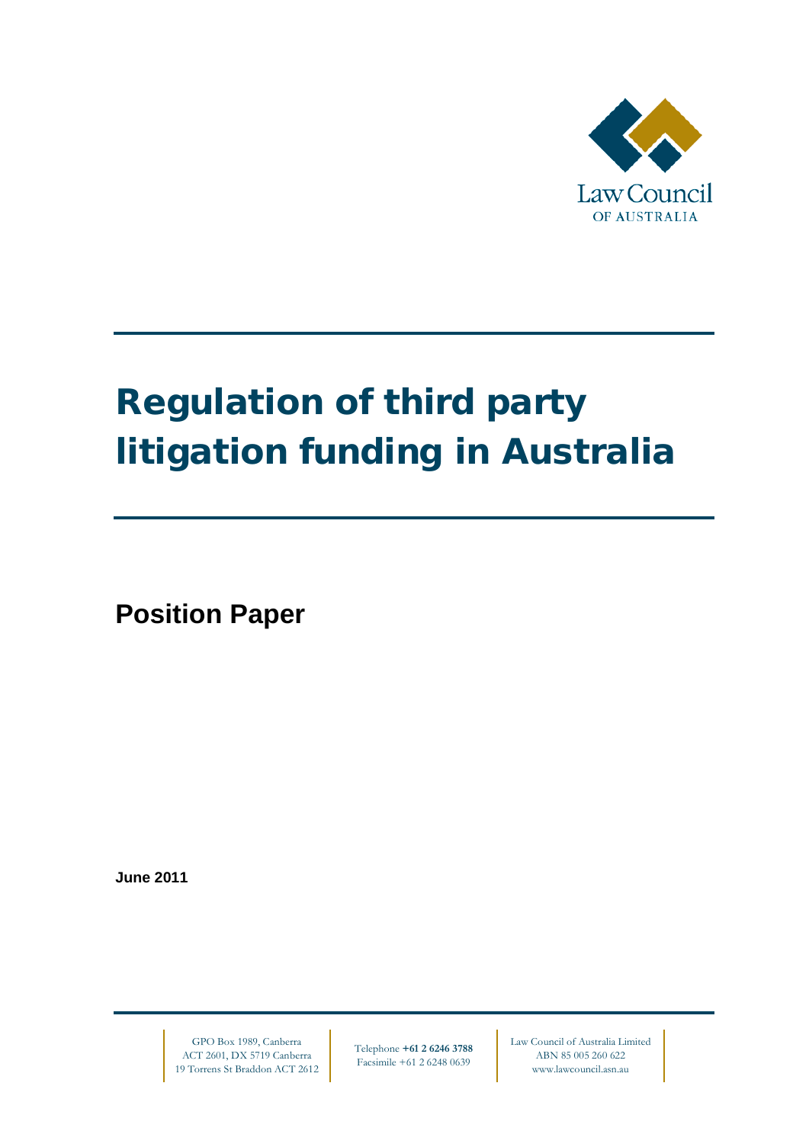

# Regulation of third party litigation funding in Australia

**Position Paper**

**June 2011**

GPO Box 1989, Canberra ACT 2601, DX 5719 Canberra 19 Torrens St Braddon ACT 2612

Telephone **+61 2 6246 3788** Facsimile +61 2 6248 0639

Law Council of Australia Limited ABN 85 005 260 622 www.lawcouncil.asn.au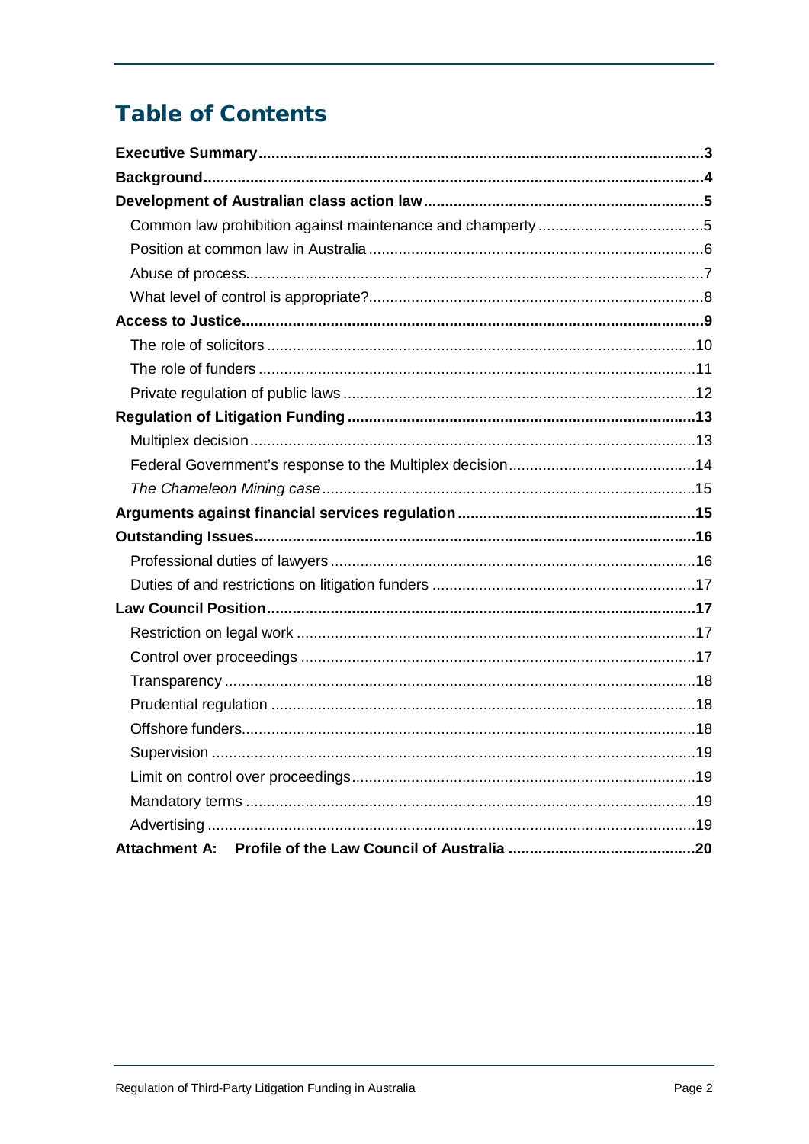## **Table of Contents**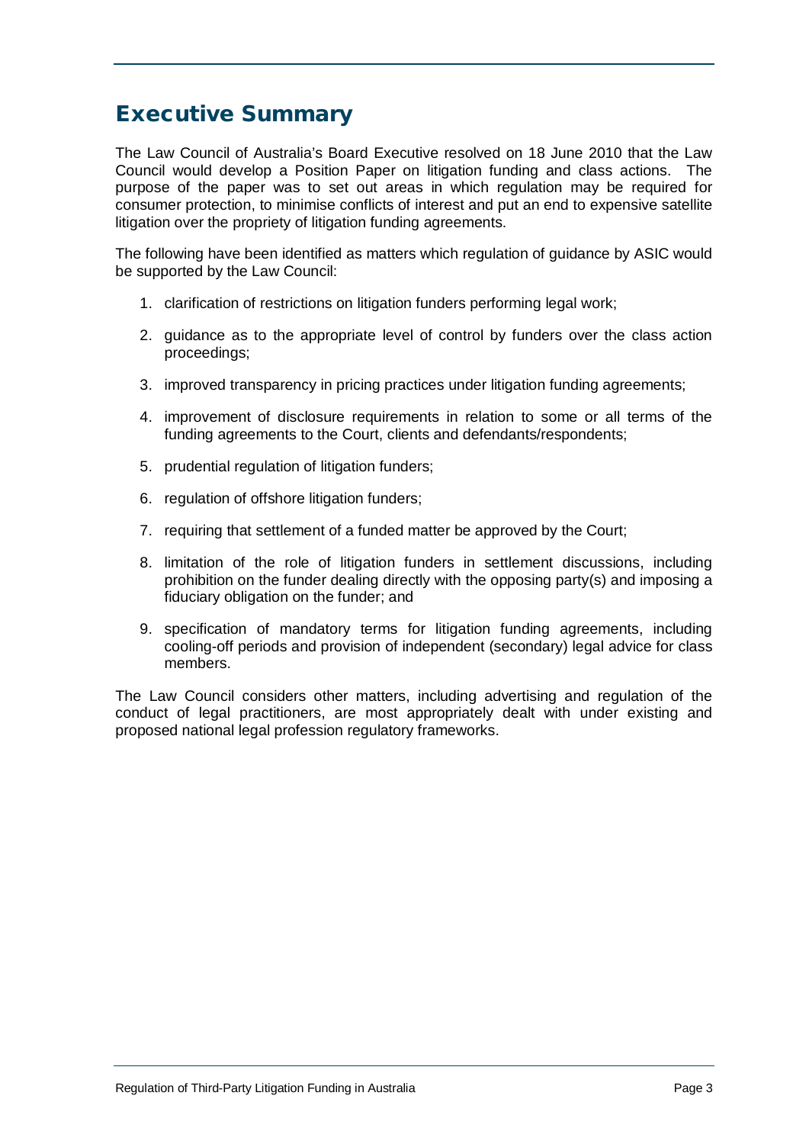## <span id="page-2-0"></span>Executive Summary

The Law Council of Australia's Board Executive resolved on 18 June 2010 that the Law Council would develop a Position Paper on litigation funding and class actions. The purpose of the paper was to set out areas in which regulation may be required for consumer protection, to minimise conflicts of interest and put an end to expensive satellite litigation over the propriety of litigation funding agreements.

The following have been identified as matters which regulation of guidance by ASIC would be supported by the Law Council:

- 1. clarification of restrictions on litigation funders performing legal work;
- 2. guidance as to the appropriate level of control by funders over the class action proceedings;
- 3. improved transparency in pricing practices under litigation funding agreements;
- 4. improvement of disclosure requirements in relation to some or all terms of the funding agreements to the Court, clients and defendants/respondents;
- 5. prudential regulation of litigation funders;
- 6. regulation of offshore litigation funders;
- 7. requiring that settlement of a funded matter be approved by the Court;
- 8. limitation of the role of litigation funders in settlement discussions, including prohibition on the funder dealing directly with the opposing party(s) and imposing a fiduciary obligation on the funder; and
- 9. specification of mandatory terms for litigation funding agreements, including cooling-off periods and provision of independent (secondary) legal advice for class members.

The Law Council considers other matters, including advertising and regulation of the conduct of legal practitioners, are most appropriately dealt with under existing and proposed national legal profession regulatory frameworks.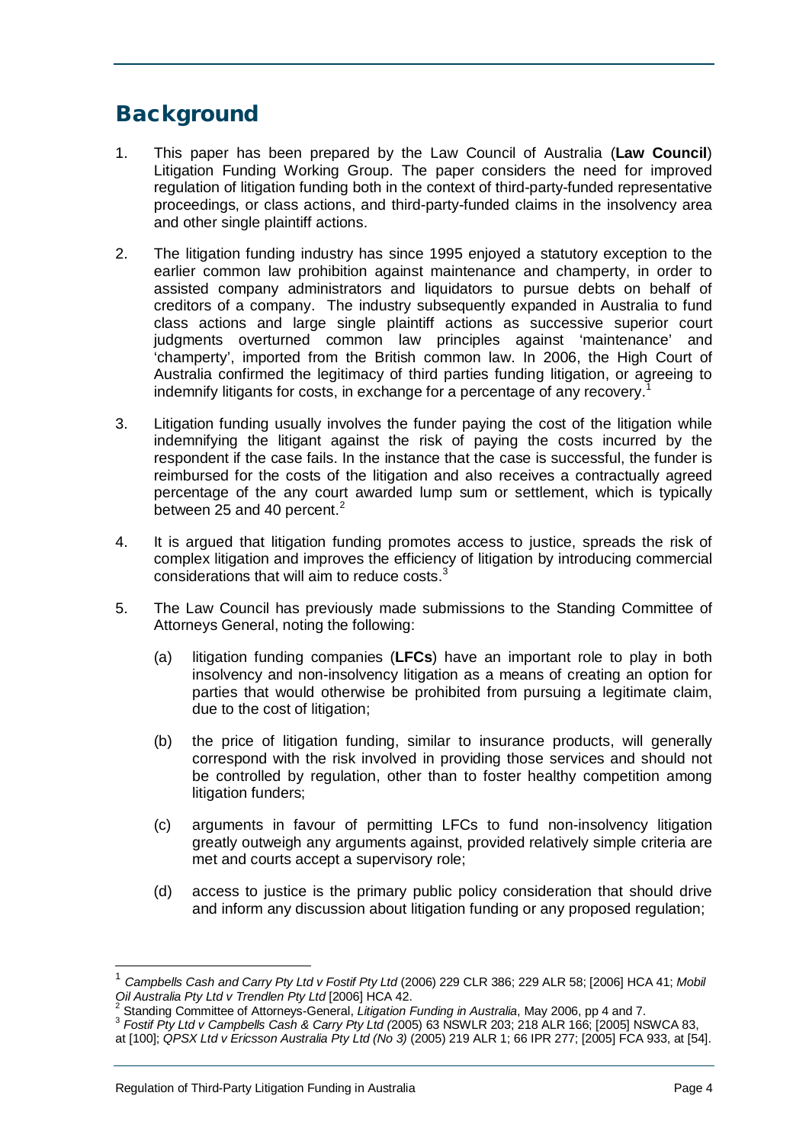## <span id="page-3-0"></span>**Background**

- 1. This paper has been prepared by the Law Council of Australia (**Law Council**) Litigation Funding Working Group. The paper considers the need for improved regulation of litigation funding both in the context of third-party-funded representative proceedings, or class actions, and third-party-funded claims in the insolvency area and other single plaintiff actions.
- 2. The litigation funding industry has since 1995 enjoyed a statutory exception to the earlier common law prohibition against maintenance and champerty, in order to assisted company administrators and liquidators to pursue debts on behalf of creditors of a company. The industry subsequently expanded in Australia to fund class actions and large single plaintiff actions as successive superior court judgments overturned common law principles against 'maintenance' and 'champerty', imported from the British common law. In 2006, the High Court of Australia confirmed the legitimacy of third parties funding litigation, or agreeing to indemnify litigants for costs, in exchange for a percentage of any recovery.<sup>[1](#page-3-1)</sup>
- 3. Litigation funding usually involves the funder paying the cost of the litigation while indemnifying the litigant against the risk of paying the costs incurred by the respondent if the case fails. In the instance that the case is successful, the funder is reimbursed for the costs of the litigation and also receives a contractually agreed percentage of the any court awarded lump sum or settlement, which is typically between [2](#page-3-2)5 and 40 percent.<sup>2</sup>
- 4. It is argued that litigation funding promotes access to justice, spreads the risk of complex litigation and improves the efficiency of litigation by introducing commercial considerations that will aim to reduce costs.<sup>[3](#page-3-3)</sup>
- 5. The Law Council has previously made submissions to the Standing Committee of Attorneys General, noting the following:
	- (a) litigation funding companies (**LFCs**) have an important role to play in both insolvency and non-insolvency litigation as a means of creating an option for parties that would otherwise be prohibited from pursuing a legitimate claim, due to the cost of litigation;
	- (b) the price of litigation funding, similar to insurance products, will generally correspond with the risk involved in providing those services and should not be controlled by regulation, other than to foster healthy competition among litigation funders;
	- (c) arguments in favour of permitting LFCs to fund non-insolvency litigation greatly outweigh any arguments against, provided relatively simple criteria are met and courts accept a supervisory role;
	- (d) access to justice is the primary public policy consideration that should drive and inform any discussion about litigation funding or any proposed regulation;

 <sup>1</sup> *Campbells Cash and Carry Pty Ltd v Fostif Pty Ltd* (2006) 229 CLR 386; 229 ALR 58; [2006] HCA 41; *Mobil* 

<span id="page-3-2"></span><span id="page-3-1"></span><sup>&</sup>lt;sup>2</sup> Standing Committee of Attorneys-General, Litigation Funding in Australia, May 2006, pp 4 and 7.<br><sup>3</sup> Fostif Pty Ltd v Campbells Cash & Carry Pty Ltd (2005) 63 NSWLR 203; 218 ALR 166; [2005] NSWCA 83,

<span id="page-3-3"></span>at [100]; *QPSX Ltd v Ericsson Australia Pty Ltd (No 3)* (2005) 219 ALR 1; 66 IPR 277; [2005] FCA 933, at [54].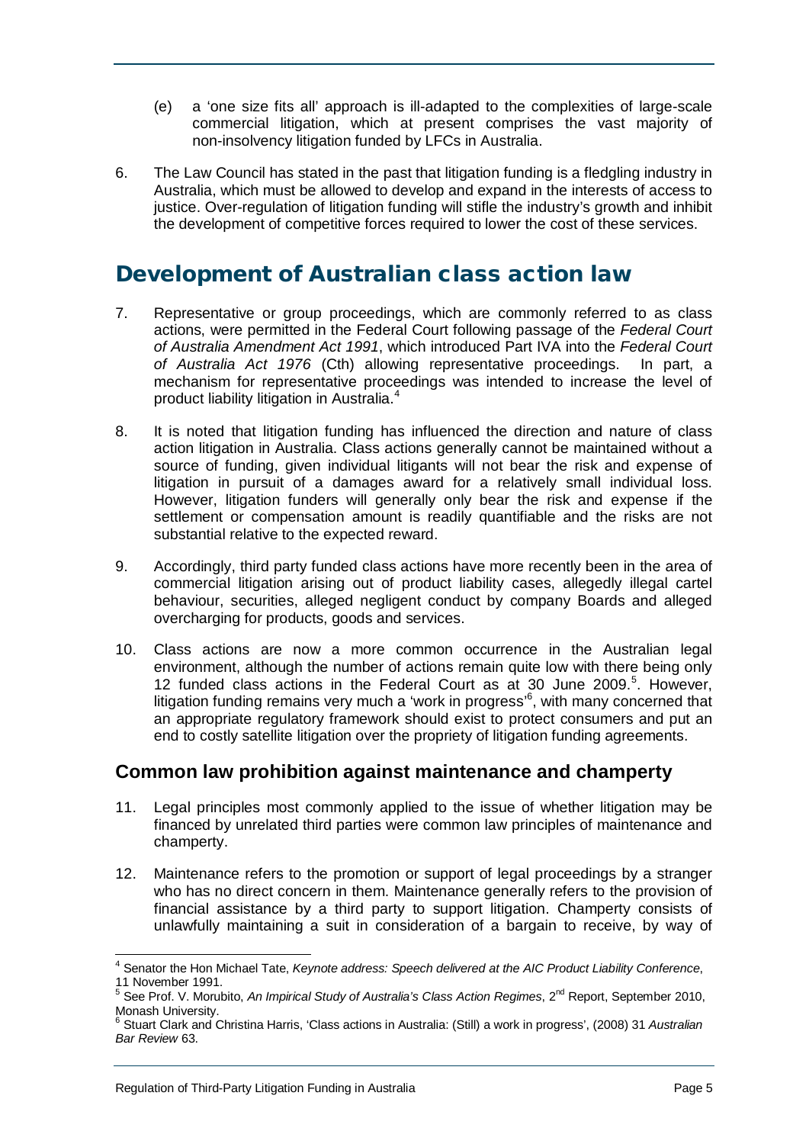- (e) a 'one size fits all' approach is ill-adapted to the complexities of large-scale commercial litigation, which at present comprises the vast majority of non-insolvency litigation funded by LFCs in Australia.
- 6. The Law Council has stated in the past that litigation funding is a fledgling industry in Australia, which must be allowed to develop and expand in the interests of access to justice. Over-regulation of litigation funding will stifle the industry's growth and inhibit the development of competitive forces required to lower the cost of these services.

## <span id="page-4-0"></span>Development of Australian class action law

- 7. Representative or group proceedings, which are commonly referred to as class actions, were permitted in the Federal Court following passage of the *Federal Court of Australia Amendment Act 1991*, which introduced Part IVA into the *Federal Court of Australia Act 1976* (Cth) allowing representative proceedings. In part, a mechanism for representative proceedings was intended to increase the level of product liability litigation in Australia.[4](#page-4-2)
- 8. It is noted that litigation funding has influenced the direction and nature of class action litigation in Australia. Class actions generally cannot be maintained without a source of funding, given individual litigants will not bear the risk and expense of litigation in pursuit of a damages award for a relatively small individual loss. However, litigation funders will generally only bear the risk and expense if the settlement or compensation amount is readily quantifiable and the risks are not substantial relative to the expected reward.
- 9. Accordingly, third party funded class actions have more recently been in the area of commercial litigation arising out of product liability cases, allegedly illegal cartel behaviour, securities, alleged negligent conduct by company Boards and alleged overcharging for products, goods and services.
- 10. Class actions are now a more common occurrence in the Australian legal environment, although the number of actions remain quite low with there being only 12 funded class actions in the Federal Court as at 30 June 2009.<sup>[5](#page-4-3)</sup>. However, litigation funding remains very much a 'work in progress'<sup>[6](#page-4-4)</sup>, with many concerned that an appropriate regulatory framework should exist to protect consumers and put an end to costly satellite litigation over the propriety of litigation funding agreements.

## <span id="page-4-1"></span>**Common law prohibition against maintenance and champerty**

- 11. Legal principles most commonly applied to the issue of whether litigation may be financed by unrelated third parties were common law principles of maintenance and champerty.
- 12. Maintenance refers to the promotion or support of legal proceedings by a stranger who has no direct concern in them. Maintenance generally refers to the provision of financial assistance by a third party to support litigation. Champerty consists of unlawfully maintaining a suit in consideration of a bargain to receive, by way of

<span id="page-4-2"></span> <sup>4</sup> Senator the Hon Michael Tate, *Keynote address: Speech delivered at the AIC Product Liability Conference*, 11 November 1991.

<span id="page-4-3"></span><sup>&</sup>lt;sup>5</sup> See Prof. V. Morubito, *An Impirical Study of Australia's Class Action Regimes*, 2<sup>nd</sup> Report, September 2010, Monash University.

<span id="page-4-4"></span><sup>6</sup> Stuart Clark and Christina Harris, 'Class actions in Australia: (Still) a work in progress', (2008) 31 *Australian Bar Review* 63.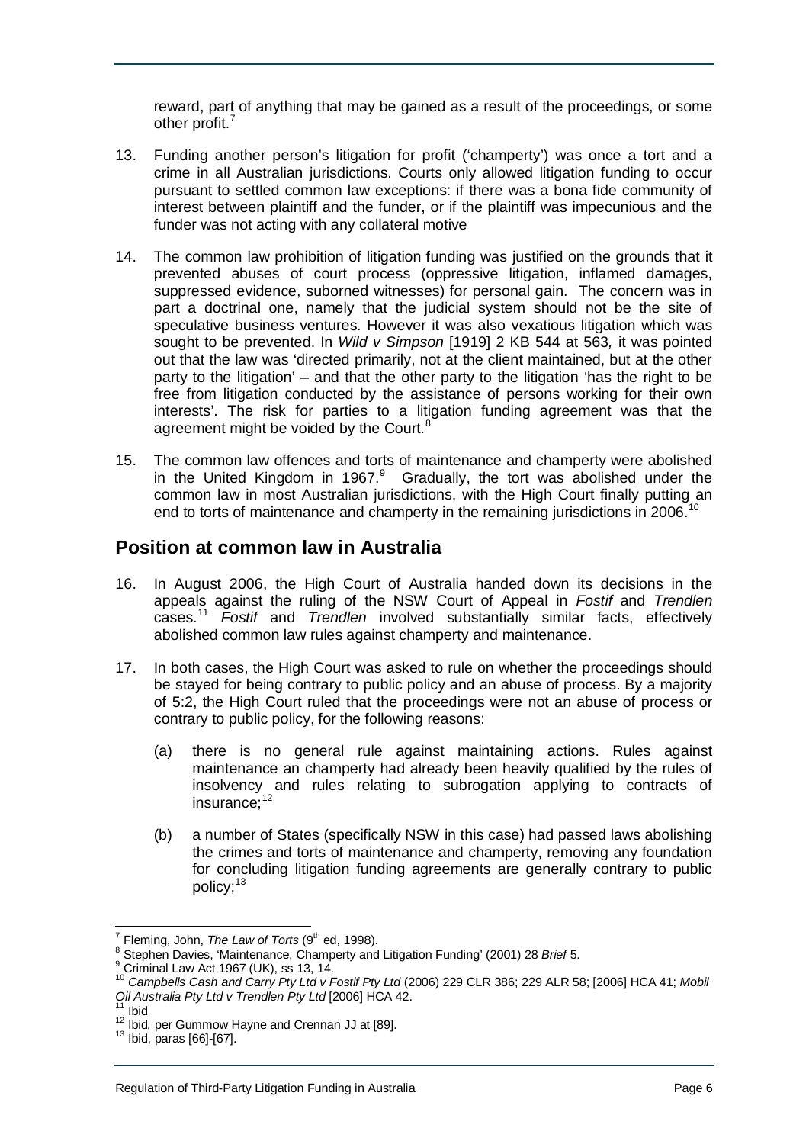reward, part of anything that may be gained as a result of the proceedings, or some other profit.<sup>[7](#page-5-1)</sup>

- 13. Funding another person's litigation for profit ('champerty') was once a tort and a crime in all Australian jurisdictions. Courts only allowed litigation funding to occur pursuant to settled common law exceptions: if there was a bona fide community of interest between plaintiff and the funder, or if the plaintiff was impecunious and the funder was not acting with any collateral motive
- 14. The common law prohibition of litigation funding was justified on the grounds that it prevented abuses of court process (oppressive litigation, inflamed damages, suppressed evidence, suborned witnesses) for personal gain. The concern was in part a doctrinal one, namely that the judicial system should not be the site of speculative business ventures. However it was also vexatious litigation which was sought to be prevented. In *Wild v Simpson* [1919] 2 KB 544 at 563*,* it was pointed out that the law was 'directed primarily, not at the client maintained, but at the other party to the litigation' – and that the other party to the litigation 'has the right to be free from litigation conducted by the assistance of persons working for their own interests'. The risk for parties to a litigation funding agreement was that the agreement might be voided by the Court.<sup>[8](#page-5-2)</sup>
- 15. The common law offences and torts of maintenance and champerty were abolished in the United Kingdom in 1[9](#page-5-3)67. $9$  Gradually, the tort was abolished under the common law in most Australian jurisdictions, with the High Court finally putting an end to torts of maintenance and champerty in the remaining jurisdictions in 2006.<sup>1</sup>

#### <span id="page-5-0"></span>**Position at common law in Australia**

- 16. In August 2006, the High Court of Australia handed down its decisions in the appeals against the ruling of the NSW Court of Appeal in *Fostif* and *Trendlen* cases.[11](#page-5-5) *Fostif* and *Trendlen* involved substantially similar facts, effectively abolished common law rules against champerty and maintenance.
- 17. In both cases, the High Court was asked to rule on whether the proceedings should be stayed for being contrary to public policy and an abuse of process. By a majority of 5:2, the High Court ruled that the proceedings were not an abuse of process or contrary to public policy, for the following reasons:
	- (a) there is no general rule against maintaining actions. Rules against maintenance an champerty had already been heavily qualified by the rules of insolvency and rules relating to subrogation applying to contracts of insurance; [12](#page-5-6)
	- (b) a number of States (specifically NSW in this case) had passed laws abolishing the crimes and torts of maintenance and champerty, removing any foundation for concluding litigation funding agreements are generally contrary to public policy;<sup>[13](#page-5-7)</sup>

<span id="page-5-4"></span><span id="page-5-3"></span>

<span id="page-5-2"></span><span id="page-5-1"></span><sup>&</sup>lt;sup>7</sup> Fleming, John, *The Law of Torts* (9<sup>th</sup> ed, 1998).<br>
<sup>8</sup> Stephen Davies, 'Maintenance, Champerty and Litigation Funding' (2001) 28 *Brief* 5.<br>
<sup>9</sup> Criminal Law Act 1967 (UK), ss 13, 14.<br>
<sup>10</sup> Campbells Cash and Carry

<span id="page-5-6"></span><span id="page-5-5"></span>

<sup>&</sup>lt;sup>11</sup> Ibid<br><sup>12</sup> Ibid, per Gummow Hayne and Crennan JJ at [89].<br><sup>13</sup> Ibid, paras [66]-[67].

<span id="page-5-7"></span>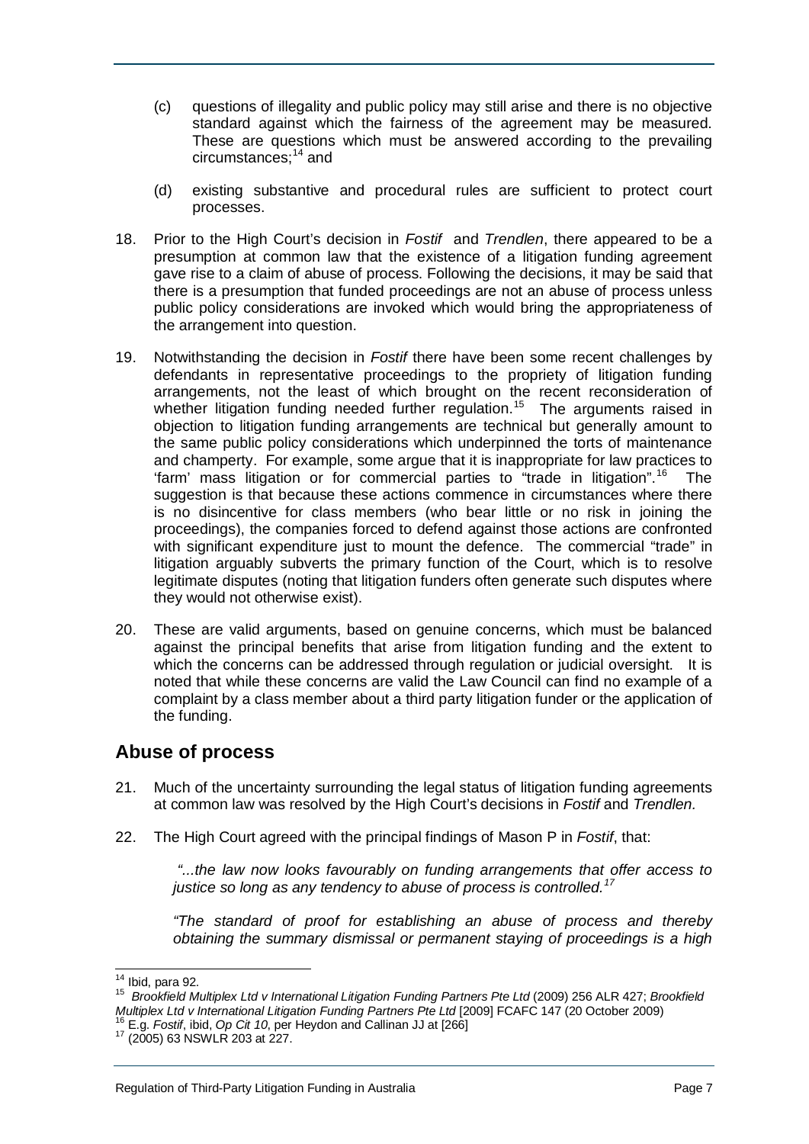- (c) questions of illegality and public policy may still arise and there is no objective standard against which the fairness of the agreement may be measured. These are questions which must be answered according to the prevailing circumstances;<sup>[14](#page-6-1)</sup> and
- (d) existing substantive and procedural rules are sufficient to protect court processes.
- 18. Prior to the High Court's decision in *Fostif* and *Trendlen*, there appeared to be a presumption at common law that the existence of a litigation funding agreement gave rise to a claim of abuse of process. Following the decisions, it may be said that there is a presumption that funded proceedings are not an abuse of process unless public policy considerations are invoked which would bring the appropriateness of the arrangement into question.
- 19. Notwithstanding the decision in *Fostif* there have been some recent challenges by defendants in representative proceedings to the propriety of litigation funding arrangements, not the least of which brought on the recent reconsideration of whether litigation funding needed further regulation.<sup>15</sup> The arguments raised in objection to litigation funding arrangements are technical but generally amount to the same public policy considerations which underpinned the torts of maintenance and champerty. For example, some argue that it is inappropriate for law practices to 'farm' mass litigation or for commercial parties to "trade in litigation".<sup>[16](#page-6-3)</sup> The suggestion is that because these actions commence in circumstances where there is no disincentive for class members (who bear little or no risk in joining the proceedings), the companies forced to defend against those actions are confronted with significant expenditure just to mount the defence. The commercial "trade" in litigation arguably subverts the primary function of the Court, which is to resolve legitimate disputes (noting that litigation funders often generate such disputes where they would not otherwise exist).
- 20. These are valid arguments, based on genuine concerns, which must be balanced against the principal benefits that arise from litigation funding and the extent to which the concerns can be addressed through regulation or judicial oversight. It is noted that while these concerns are valid the Law Council can find no example of a complaint by a class member about a third party litigation funder or the application of the funding.

## <span id="page-6-0"></span>**Abuse of process**

- 21. Much of the uncertainty surrounding the legal status of litigation funding agreements at common law was resolved by the High Court's decisions in *Fostif* and *Trendlen.*
- 22. The High Court agreed with the principal findings of Mason P in *Fostif*, that:

*"...the law now looks favourably on funding arrangements that offer access to justice so long as any tendency to abuse of process is controlled.[17](#page-6-4)*

*"The standard of proof for establishing an abuse of process and thereby obtaining the summary dismissal or permanent staying of proceedings is a high* 

<span id="page-6-2"></span><span id="page-6-1"></span><sup>&</sup>lt;sup>14</sup> Ibid, para 92.<br><sup>15</sup> Brookfield Multiplex Ltd v International Litigation Funding Partners Pte Ltd (2009) 256 ALR 427; *Brookfield Multiplex Ltd v International Litigation Funding Partners Pte Ltd* [2009] FCAFC 147 (20 October 2009) <sup>16</sup> E.g. *Fostif*, ibid, *Op Cit 10*, per Heydon and Callinan JJ at [266] 17 (2005) 63 NSWLR 203 at 227.

<span id="page-6-3"></span>

<span id="page-6-4"></span>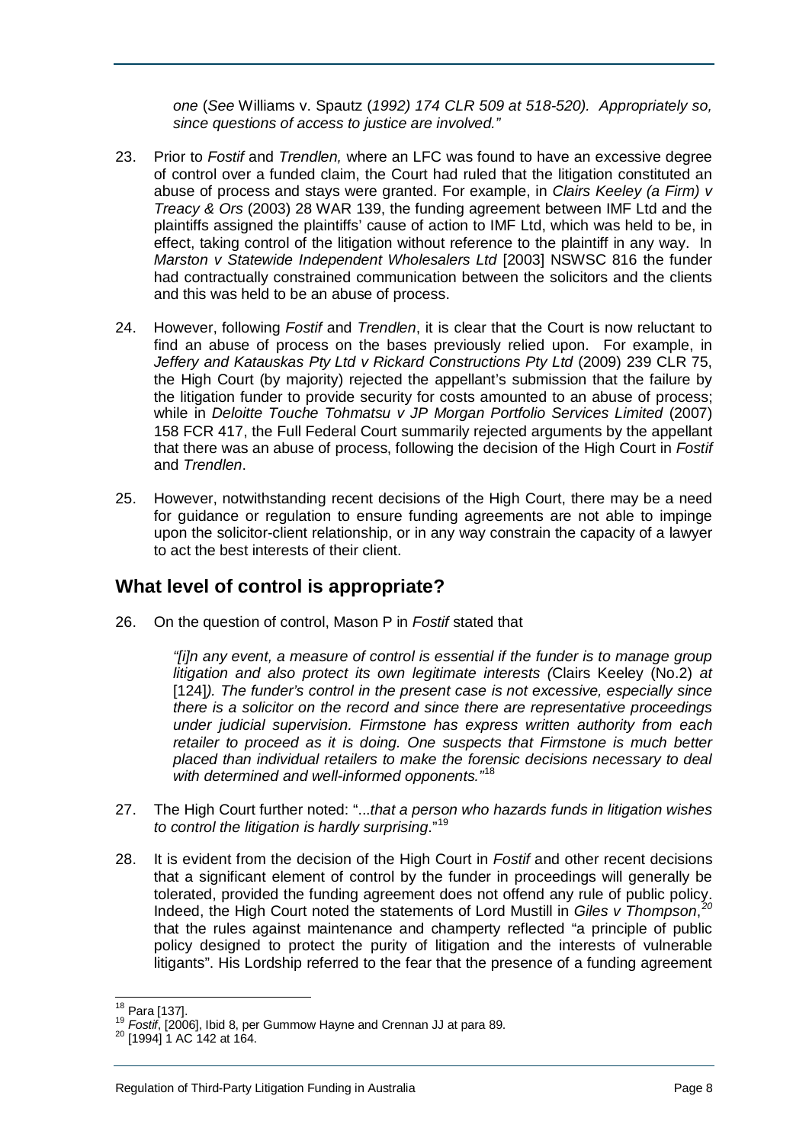*one* (*See* Williams v. Spautz (*1992) 174 CLR 509 at 518-520). Appropriately so, since questions of access to justice are involved."*

- 23. Prior to *Fostif* and *Trendlen,* where an LFC was found to have an excessive degree of control over a funded claim, the Court had ruled that the litigation constituted an abuse of process and stays were granted. For example, in *Clairs Keeley (a Firm) v Treacy & Ors* (2003) 28 WAR 139, the funding agreement between IMF Ltd and the plaintiffs assigned the plaintiffs' cause of action to IMF Ltd, which was held to be, in effect, taking control of the litigation without reference to the plaintiff in any way. In *Marston v Statewide Independent Wholesalers Ltd* [2003] NSWSC 816 the funder had contractually constrained communication between the solicitors and the clients and this was held to be an abuse of process.
- 24. However, following *Fostif* and *Trendlen*, it is clear that the Court is now reluctant to find an abuse of process on the bases previously relied upon. For example, in *Jeffery and Katauskas Pty Ltd v Rickard Constructions Pty Ltd* (2009) 239 CLR 75, the High Court (by majority) rejected the appellant's submission that the failure by the litigation funder to provide security for costs amounted to an abuse of process; while in *Deloitte Touche Tohmatsu v JP Morgan Portfolio Services Limited* (2007) 158 FCR 417, the Full Federal Court summarily rejected arguments by the appellant that there was an abuse of process, following the decision of the High Court in *Fostif*  and *Trendlen*.
- 25. However, notwithstanding recent decisions of the High Court, there may be a need for guidance or regulation to ensure funding agreements are not able to impinge upon the solicitor-client relationship, or in any way constrain the capacity of a lawyer to act the best interests of their client.

## <span id="page-7-0"></span>**What level of control is appropriate?**

26. On the question of control, Mason P in *Fostif* stated that

*"[i]n any event, a measure of control is essential if the funder is to manage group litigation and also protect its own legitimate interests (*Clairs Keeley (No.2) *at*  [124]). The funder's control in the present case is not excessive, especially since *there is a solicitor on the record and since there are representative proceedings under judicial supervision. Firmstone has express written authority from each retailer to proceed as it is doing. One suspects that Firmstone is much better placed than individual retailers to make the forensic decisions necessary to deal with determined and well-informed opponents."*[18](#page-7-1)

- 27. The High Court further noted: "...*that a person who hazards funds in litigation wishes to control the litigation is hardly surprising*."[19](#page-7-2)
- 28. It is evident from the decision of the High Court in *Fostif* and other recent decisions that a significant element of control by the funder in proceedings will generally be tolerated, provided the funding agreement does not offend any rule of public policy. Indeed, the High Court noted the statements of Lord Mustill in *Giles v Thompson*, *[20](#page-7-3)* that the rules against maintenance and champerty reflected "a principle of public policy designed to protect the purity of litigation and the interests of vulnerable litigants". His Lordship referred to the fear that the presence of a funding agreement

<span id="page-7-1"></span> <sup>18</sup> Para [137].

<span id="page-7-2"></span><sup>&</sup>lt;sup>19</sup> *Fostif*, [2006], Ibid 8, per Gummow Hayne and Crennan JJ at para 89.<br><sup>20</sup> [1994] 1 AC 142 at 164.

<span id="page-7-3"></span>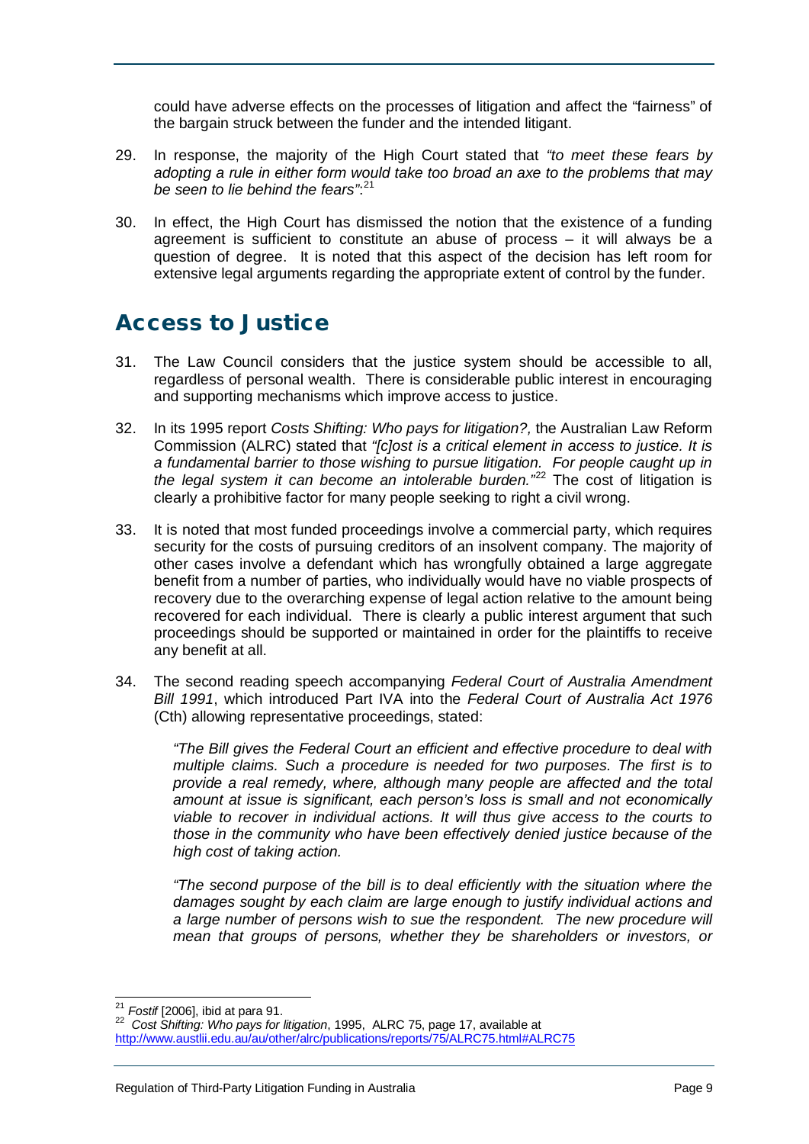could have adverse effects on the processes of litigation and affect the "fairness" of the bargain struck between the funder and the intended litigant.

- 29. In response, the majority of the High Court stated that *"to meet these fears by adopting a rule in either form would take too broad an axe to the problems that may be seen to lie behind the fears"*: [21](#page-8-1)
- 30. In effect, the High Court has dismissed the notion that the existence of a funding agreement is sufficient to constitute an abuse of process – it will always be a question of degree. It is noted that this aspect of the decision has left room for extensive legal arguments regarding the appropriate extent of control by the funder.

## <span id="page-8-0"></span>Access to Justice

- 31. The Law Council considers that the justice system should be accessible to all, regardless of personal wealth. There is considerable public interest in encouraging and supporting mechanisms which improve access to justice.
- 32. In its 1995 report *Costs Shifting: Who pays for litigation?,* the Australian Law Reform Commission (ALRC) stated that *"[c]ost is a critical element in access to justice. It is a fundamental barrier to those wishing to pursue litigation. For people caught up in*  the legal system it can become an intolerable burden.<sup>"[22](#page-8-2)</sup> The cost of litigation is clearly a prohibitive factor for many people seeking to right a civil wrong.
- 33. It is noted that most funded proceedings involve a commercial party, which requires security for the costs of pursuing creditors of an insolvent company. The majority of other cases involve a defendant which has wrongfully obtained a large aggregate benefit from a number of parties, who individually would have no viable prospects of recovery due to the overarching expense of legal action relative to the amount being recovered for each individual. There is clearly a public interest argument that such proceedings should be supported or maintained in order for the plaintiffs to receive any benefit at all.
- 34. The second reading speech accompanying *Federal Court of Australia Amendment Bill 1991*, which introduced Part IVA into the *Federal Court of Australia Act 1976* (Cth) allowing representative proceedings, stated:

*"The Bill gives the Federal Court an efficient and effective procedure to deal with multiple claims. Such a procedure is needed for two purposes. The first is to provide a real remedy, where, although many people are affected and the total amount at issue is significant, each person's loss is small and not economically viable to recover in individual actions. It will thus give access to the courts to those in the community who have been effectively denied justice because of the high cost of taking action.*

*"The second purpose of the bill is to deal efficiently with the situation where the damages sought by each claim are large enough to justify individual actions and*  a large number of persons wish to sue the respondent. The new procedure will *mean that groups of persons, whether they be shareholders or investors, or* 

<span id="page-8-2"></span><span id="page-8-1"></span><sup>&</sup>lt;sup>21</sup> *Fostif* [2006], ibid at para 91.<br><sup>22</sup> Cost Shifting: Who pays for litigation, 1995, ALRC 75, page 17, available at <http://www.austlii.edu.au/au/other/alrc/publications/reports/75/ALRC75.html#ALRC75>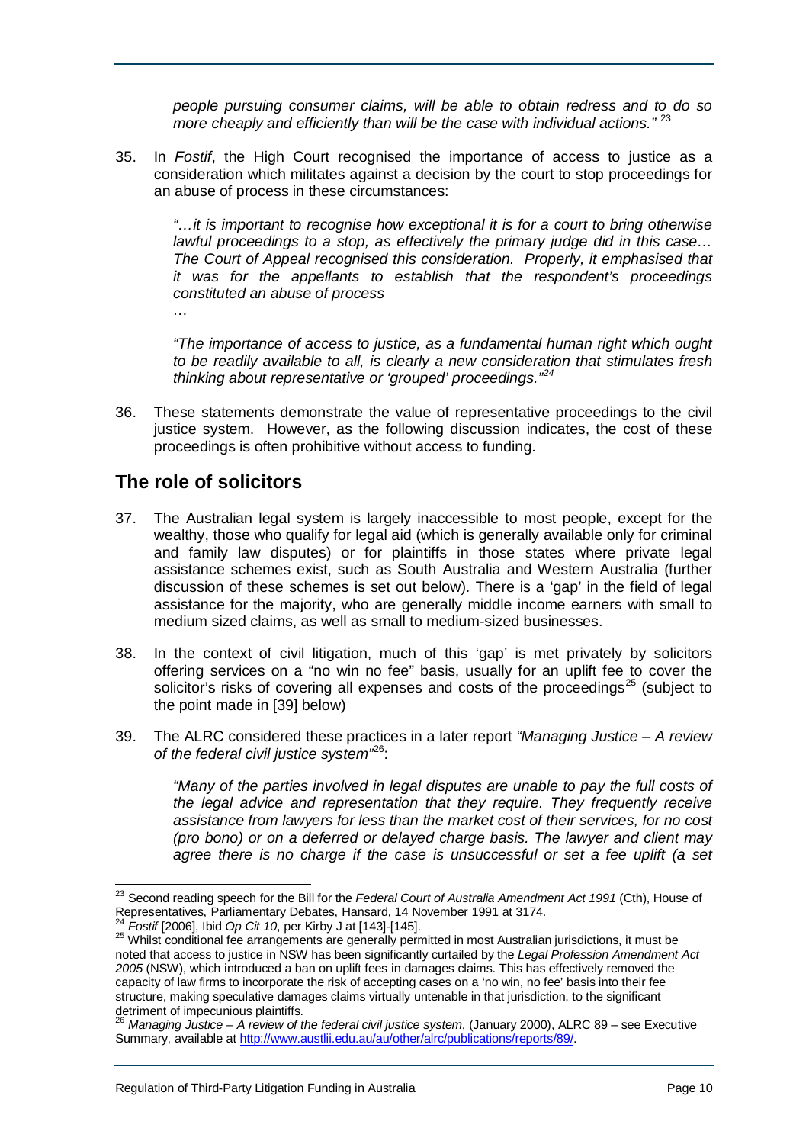*people pursuing consumer claims, will be able to obtain redress and to do so more cheaply and efficiently than will be the case with individual actions."* [23](#page-9-1)

35. In *Fostif*, the High Court recognised the importance of access to justice as a consideration which militates against a decision by the court to stop proceedings for an abuse of process in these circumstances:

*"…it is important to recognise how exceptional it is for a court to bring otherwise lawful proceedings to a stop, as effectively the primary judge did in this case… The Court of Appeal recognised this consideration. Properly, it emphasised that it was for the appellants to establish that the respondent's proceedings constituted an abuse of process*

*…*

*"The importance of access to justice, as a fundamental human right which ought to be readily available to all, is clearly a new consideration that stimulates fresh thinking about representative or 'grouped' proceedings."[24](#page-9-2)*

36. These statements demonstrate the value of representative proceedings to the civil justice system. However, as the following discussion indicates, the cost of these proceedings is often prohibitive without access to funding.

## <span id="page-9-0"></span>**The role of solicitors**

- 37. The Australian legal system is largely inaccessible to most people, except for the wealthy, those who qualify for legal aid (which is generally available only for criminal and family law disputes) or for plaintiffs in those states where private legal assistance schemes exist, such as South Australia and Western Australia (further discussion of these schemes is set out below). There is a 'gap' in the field of legal assistance for the majority, who are generally middle income earners with small to medium sized claims, as well as small to medium-sized businesses.
- 38. In the context of civil litigation, much of this 'gap' is met privately by solicitors offering services on a "no win no fee" basis, usually for an uplift fee to cover the solicitor's risks of covering all expenses and costs of the proceedings<sup>[25](#page-9-3)</sup> (subject to the point made in [39] below)
- 39. The ALRC considered these practices in a later report *"Managing Justice – A review of the federal civil justice system"* [26](#page-9-4) :

*"Many of the parties involved in legal disputes are unable to pay the full costs of the legal advice and representation that they require. They frequently receive assistance from lawyers for less than the market cost of their services, for no cost (pro bono) or on a deferred or delayed charge basis. The lawyer and client may agree there is no charge if the case is unsuccessful or set a fee uplift (a set* 

<span id="page-9-1"></span> <sup>23</sup> Second reading speech for the Bill for the *Federal Court of Australia Amendment Act 1991* (Cth), House of Representatives, Parliamentary Debates, Hansard, 14 November 1991 at 3174.<br><sup>24</sup> Fostif [2006], Ibid *Op Cit 10*, per Kirby J at [143]-[145].

<span id="page-9-2"></span>

<span id="page-9-3"></span><sup>&</sup>lt;sup>25</sup> Whilst conditional fee arrangements are generally permitted in most Australian jurisdictions, it must be noted that access to justice in NSW has been significantly curtailed by the *Legal Profession Amendment Act 2005* (NSW), which introduced a ban on uplift fees in damages claims. This has effectively removed the capacity of law firms to incorporate the risk of accepting cases on a 'no win, no fee' basis into their fee structure, making speculative damages claims virtually untenable in that jurisdiction, to the significant detriment of impecunious plaintiffs.

<span id="page-9-4"></span><sup>26</sup> *Managing Justice – A review of the federal civil justice system*, (January 2000), ALRC 89 – see Executive Summary, available a[t http://www.austlii.edu.au/au/other/alrc/publications/reports/89/.](http://www.austlii.edu.au/au/other/alrc/publications/reports/89/)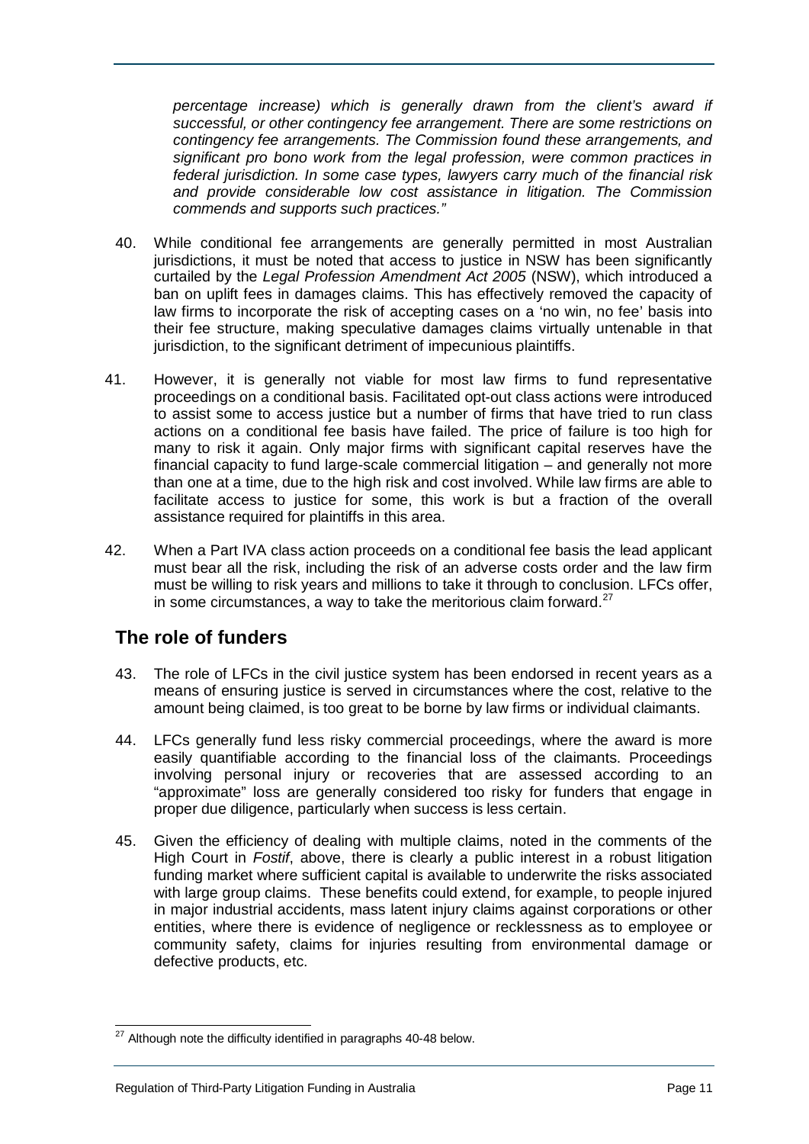*percentage increase) which is generally drawn from the client's award if successful, or other contingency fee arrangement. There are some restrictions on contingency fee arrangements. The Commission found these arrangements, and significant pro bono work from the legal profession, were common practices in federal jurisdiction. In some case types, lawyers carry much of the financial risk and provide considerable low cost assistance in litigation. The Commission commends and supports such practices."*

- 40. While conditional fee arrangements are generally permitted in most Australian jurisdictions, it must be noted that access to justice in NSW has been significantly curtailed by the *Legal Profession Amendment Act 2005* (NSW), which introduced a ban on uplift fees in damages claims. This has effectively removed the capacity of law firms to incorporate the risk of accepting cases on a 'no win, no fee' basis into their fee structure, making speculative damages claims virtually untenable in that jurisdiction, to the significant detriment of impecunious plaintiffs.
- 41. However, it is generally not viable for most law firms to fund representative proceedings on a conditional basis. Facilitated opt-out class actions were introduced to assist some to access justice but a number of firms that have tried to run class actions on a conditional fee basis have failed. The price of failure is too high for many to risk it again. Only major firms with significant capital reserves have the financial capacity to fund large-scale commercial litigation – and generally not more than one at a time, due to the high risk and cost involved. While law firms are able to facilitate access to justice for some, this work is but a fraction of the overall assistance required for plaintiffs in this area.
- 42. When a Part IVA class action proceeds on a conditional fee basis the lead applicant must bear all the risk, including the risk of an adverse costs order and the law firm must be willing to risk years and millions to take it through to conclusion. LFCs offer, in some circumstances, a way to take the meritorious claim forward. $27$

## <span id="page-10-0"></span>**The role of funders**

- 43. The role of LFCs in the civil justice system has been endorsed in recent years as a means of ensuring justice is served in circumstances where the cost, relative to the amount being claimed, is too great to be borne by law firms or individual claimants.
- 44. LFCs generally fund less risky commercial proceedings, where the award is more easily quantifiable according to the financial loss of the claimants. Proceedings involving personal injury or recoveries that are assessed according to an "approximate" loss are generally considered too risky for funders that engage in proper due diligence, particularly when success is less certain.
- 45. Given the efficiency of dealing with multiple claims, noted in the comments of the High Court in *Fostif*, above, there is clearly a public interest in a robust litigation funding market where sufficient capital is available to underwrite the risks associated with large group claims. These benefits could extend, for example, to people injured in major industrial accidents, mass latent injury claims against corporations or other entities, where there is evidence of negligence or recklessness as to employee or community safety, claims for injuries resulting from environmental damage or defective products, etc.

<span id="page-10-1"></span> $27$  Although note the difficulty identified in paragraphs 40-48 below.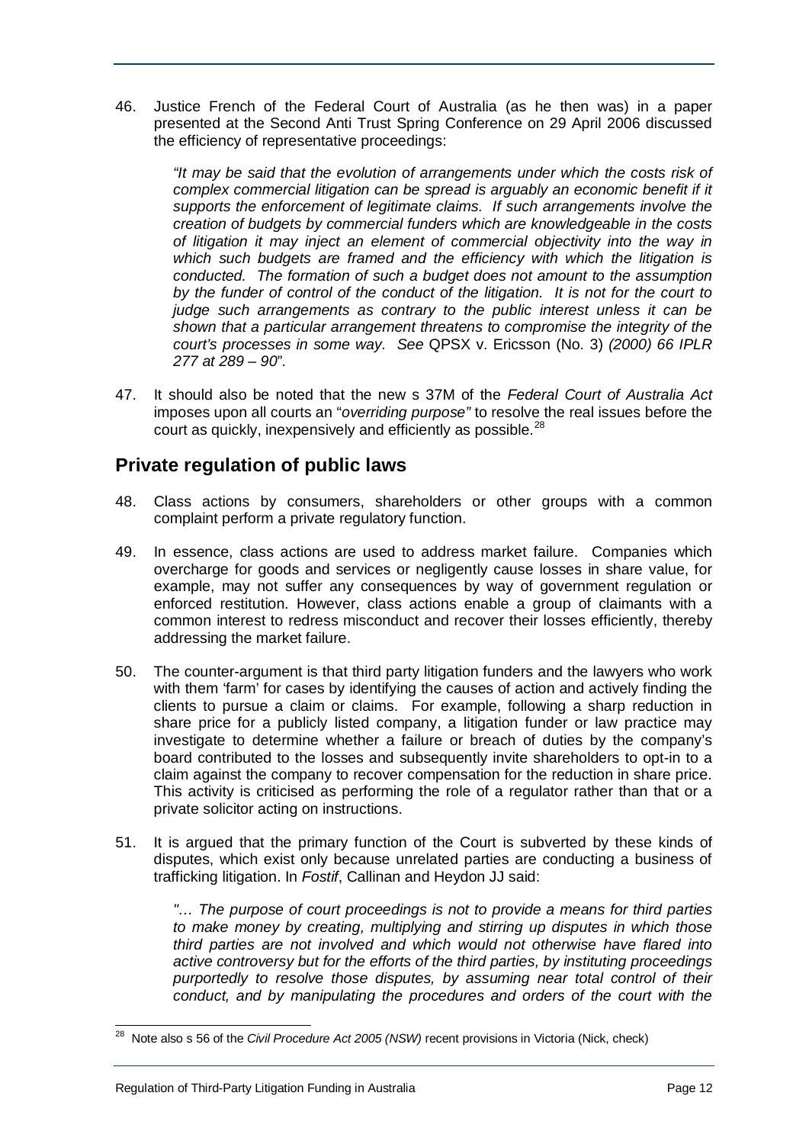46. Justice French of the Federal Court of Australia (as he then was) in a paper presented at the Second Anti Trust Spring Conference on 29 April 2006 discussed the efficiency of representative proceedings:

*"It may be said that the evolution of arrangements under which the costs risk of complex commercial litigation can be spread is arguably an economic benefit if it supports the enforcement of legitimate claims. If such arrangements involve the creation of budgets by commercial funders which are knowledgeable in the costs of litigation it may inject an element of commercial objectivity into the way in which such budgets are framed and the efficiency with which the litigation is conducted. The formation of such a budget does not amount to the assumption by the funder of control of the conduct of the litigation. It is not for the court to judge such arrangements as contrary to the public interest unless it can be shown that a particular arrangement threatens to compromise the integrity of the court's processes in some way. See* QPSX v. Ericsson (No. 3) *(2000) 66 IPLR 277 at 289 – 90*"*.*

47. It should also be noted that the new s 37M of the *Federal Court of Australia Act* imposes upon all courts an "*overriding purpose"* to resolve the real issues before the court as quickly, inexpensively and efficiently as possible.<sup>[28](#page-11-1)</sup>

## <span id="page-11-0"></span>**Private regulation of public laws**

- 48. Class actions by consumers, shareholders or other groups with a common complaint perform a private regulatory function.
- 49. In essence, class actions are used to address market failure. Companies which overcharge for goods and services or negligently cause losses in share value, for example, may not suffer any consequences by way of government regulation or enforced restitution. However, class actions enable a group of claimants with a common interest to redress misconduct and recover their losses efficiently, thereby addressing the market failure.
- 50. The counter-argument is that third party litigation funders and the lawyers who work with them 'farm' for cases by identifying the causes of action and actively finding the clients to pursue a claim or claims. For example, following a sharp reduction in share price for a publicly listed company, a litigation funder or law practice may investigate to determine whether a failure or breach of duties by the company's board contributed to the losses and subsequently invite shareholders to opt-in to a claim against the company to recover compensation for the reduction in share price. This activity is criticised as performing the role of a regulator rather than that or a private solicitor acting on instructions.
- 51. It is argued that the primary function of the Court is subverted by these kinds of disputes, which exist only because unrelated parties are conducting a business of trafficking litigation. In *Fostif*, Callinan and Heydon JJ said:

*"… The purpose of court proceedings is not to provide a means for third parties to make money by creating, multiplying and stirring up disputes in which those third parties are not involved and which would not otherwise have flared into active controversy but for the efforts of the third parties, by instituting proceedings purportedly to resolve those disputes, by assuming near total control of their conduct, and by manipulating the procedures and orders of the court with the* 

<span id="page-11-1"></span> <sup>28</sup> Note also s 56 of the *Civil Procedure Act 2005 (NSW)* recent provisions in Victoria (Nick, check)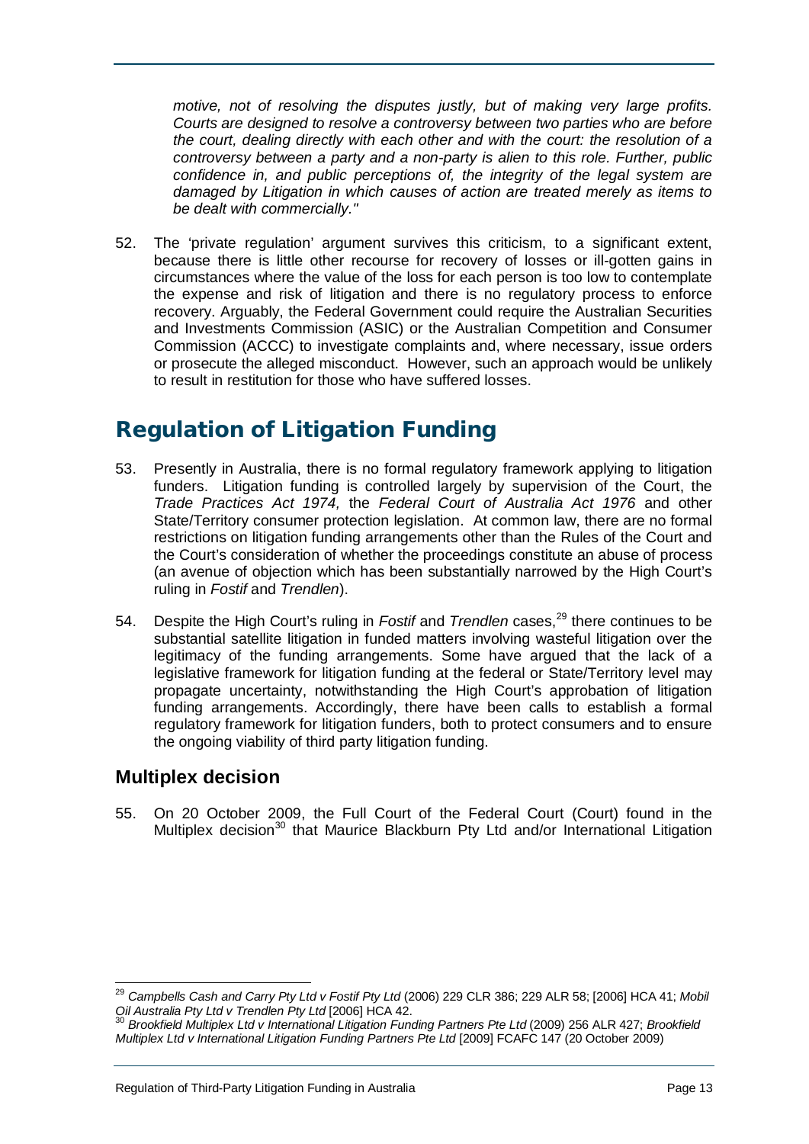*motive, not of resolving the disputes justly, but of making very large profits. Courts are designed to resolve a controversy between two parties who are before the court, dealing directly with each other and with the court: the resolution of a controversy between a party and a non-party is alien to this role. Further, public confidence in, and public perceptions of, the integrity of the legal system are damaged by Litigation in which causes of action are treated merely as items to be dealt with commercially."*

52. The 'private regulation' argument survives this criticism, to a significant extent, because there is little other recourse for recovery of losses or ill-gotten gains in circumstances where the value of the loss for each person is too low to contemplate the expense and risk of litigation and there is no regulatory process to enforce recovery. Arguably, the Federal Government could require the Australian Securities and Investments Commission (ASIC) or the Australian Competition and Consumer Commission (ACCC) to investigate complaints and, where necessary, issue orders or prosecute the alleged misconduct. However, such an approach would be unlikely to result in restitution for those who have suffered losses.

## <span id="page-12-0"></span>Regulation of Litigation Funding

- 53. Presently in Australia, there is no formal regulatory framework applying to litigation funders. Litigation funding is controlled largely by supervision of the Court, the *Trade Practices Act 1974,* the *Federal Court of Australia Act 1976* and other State/Territory consumer protection legislation. At common law, there are no formal restrictions on litigation funding arrangements other than the Rules of the Court and the Court's consideration of whether the proceedings constitute an abuse of process (an avenue of objection which has been substantially narrowed by the High Court's ruling in *Fostif* and *Trendlen*).
- 54. Despite the High Court's ruling in *Fostif* and *Trendlen* cases,<sup>[29](#page-12-2)</sup> there continues to be substantial satellite litigation in funded matters involving wasteful litigation over the legitimacy of the funding arrangements. Some have argued that the lack of a legislative framework for litigation funding at the federal or State/Territory level may propagate uncertainty, notwithstanding the High Court's approbation of litigation funding arrangements. Accordingly, there have been calls to establish a formal regulatory framework for litigation funders, both to protect consumers and to ensure the ongoing viability of third party litigation funding.

## <span id="page-12-1"></span>**Multiplex decision**

55. On 20 October 2009, the Full Court of the Federal Court (Court) found in the Multiplex decision<sup>[30](#page-12-3)</sup> that Maurice Blackburn Pty Ltd and/or International Litigation

<span id="page-12-2"></span> <sup>29</sup> *Campbells Cash and Carry Pty Ltd v Fostif Pty Ltd* (2006) 229 CLR 386; 229 ALR 58; [2006] HCA 41; *Mobil Oil Australia Pty Ltd v Trendlen Pty Ltd* [2006] HCA 42.

<span id="page-12-3"></span><sup>30</sup> *Brookfield Multiplex Ltd v International Litigation Funding Partners Pte Ltd* (2009) 256 ALR 427; *Brookfield Multiplex Ltd v International Litigation Funding Partners Pte Ltd* [2009] FCAFC 147 (20 October 2009)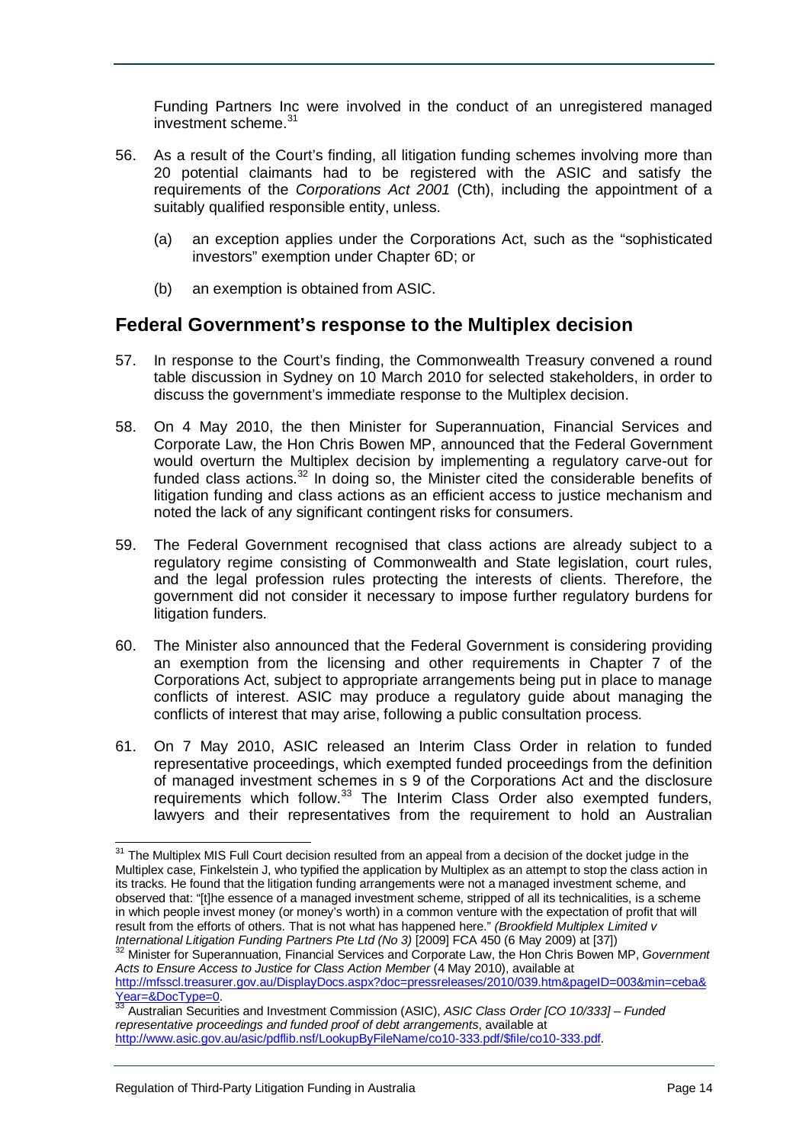Funding Partners Inc were involved in the conduct of an unregistered managed investment scheme. [31](#page-13-1)

- 56. As a result of the Court's finding, all litigation funding schemes involving more than 20 potential claimants had to be registered with the ASIC and satisfy the requirements of the *Corporations Act 2001* (Cth), including the appointment of a suitably qualified responsible entity, unless.
	- (a) an exception applies under the Corporations Act, such as the "sophisticated investors" exemption under Chapter 6D; or
	- (b) an exemption is obtained from ASIC.

#### <span id="page-13-0"></span>**Federal Government's response to the Multiplex decision**

- 57. In response to the Court's finding, the Commonwealth Treasury convened a round table discussion in Sydney on 10 March 2010 for selected stakeholders, in order to discuss the government's immediate response to the Multiplex decision.
- 58. On 4 May 2010, the then Minister for Superannuation, Financial Services and Corporate Law, the Hon Chris Bowen MP, announced that the Federal Government would overturn the Multiplex decision by implementing a regulatory carve-out for funded class actions.<sup>[32](#page-13-2)</sup> In doing so, the Minister cited the considerable benefits of litigation funding and class actions as an efficient access to justice mechanism and noted the lack of any significant contingent risks for consumers.
- 59. The Federal Government recognised that class actions are already subject to a regulatory regime consisting of Commonwealth and State legislation, court rules, and the legal profession rules protecting the interests of clients. Therefore, the government did not consider it necessary to impose further regulatory burdens for litigation funders.
- 60. The Minister also announced that the Federal Government is considering providing an exemption from the licensing and other requirements in Chapter 7 of the Corporations Act, subject to appropriate arrangements being put in place to manage conflicts of interest. ASIC may produce a regulatory guide about managing the conflicts of interest that may arise, following a public consultation process.
- 61. On 7 May 2010, ASIC released an Interim Class Order in relation to funded representative proceedings, which exempted funded proceedings from the definition of managed investment schemes in s 9 of the Corporations Act and the disclosure requirements which follow.<sup>[33](#page-13-3)</sup> The Interim Class Order also exempted funders, lawyers and their representatives from the requirement to hold an Australian

<span id="page-13-1"></span><sup>&</sup>lt;sup>31</sup> The Multiplex MIS Full Court decision resulted from an appeal from a decision of the docket judge in the Multiplex case, Finkelstein J, who typified the application by Multiplex as an attempt to stop the class action in its tracks. He found that the litigation funding arrangements were not a managed investment scheme, and observed that: "[t]he essence of a managed investment scheme, stripped of all its technicalities, is a scheme in which people invest money (or money's worth) in a common venture with the expectation of profit that will result from the efforts of others. That is not what has happened here." *(Brookfield Multiplex Limited v International Litigation Funding Partners Pte Ltd (No 3)* [2009] FCA 450 (6 May 2009) at [37])

<span id="page-13-2"></span><sup>32</sup> Minister for Superannuation, Financial Services and Corporate Law, the Hon Chris Bowen MP, *Government Acts to Ensure Access to Justice for Class Action Member* (4 May 2010), available at

[http://mfsscl.treasurer.gov.au/DisplayDocs.aspx?doc=pressreleases/2010/039.htm&pageID=003&min=ceba&](http://mfsscl.treasurer.gov.au/DisplayDocs.aspx?doc=pressreleases/2010/039.htm&pageID=003&min=ceba&Year=&DocType=0)<br>Year=&DocType=0.

<span id="page-13-3"></span><sup>&</sup>lt;sup>[33](http://mfsscl.treasurer.gov.au/DisplayDocs.aspx?doc=pressreleases/2010/039.htm&pageID=003&min=ceba&Year=&DocType=0)</sup> Australian Securities and Investment Commission (ASIC), *ASIC Class Order [CO 10/333] – Funded representative proceedings and funded proof of debt arrangements*, available at [http://www.asic.gov.au/asic/pdflib.nsf/LookupByFileName/co10-333.pdf/\\$file/co10-333.pdf.](http://www.asic.gov.au/asic/pdflib.nsf/LookupByFileName/co10-333.pdf/$file/co10-333.pdf)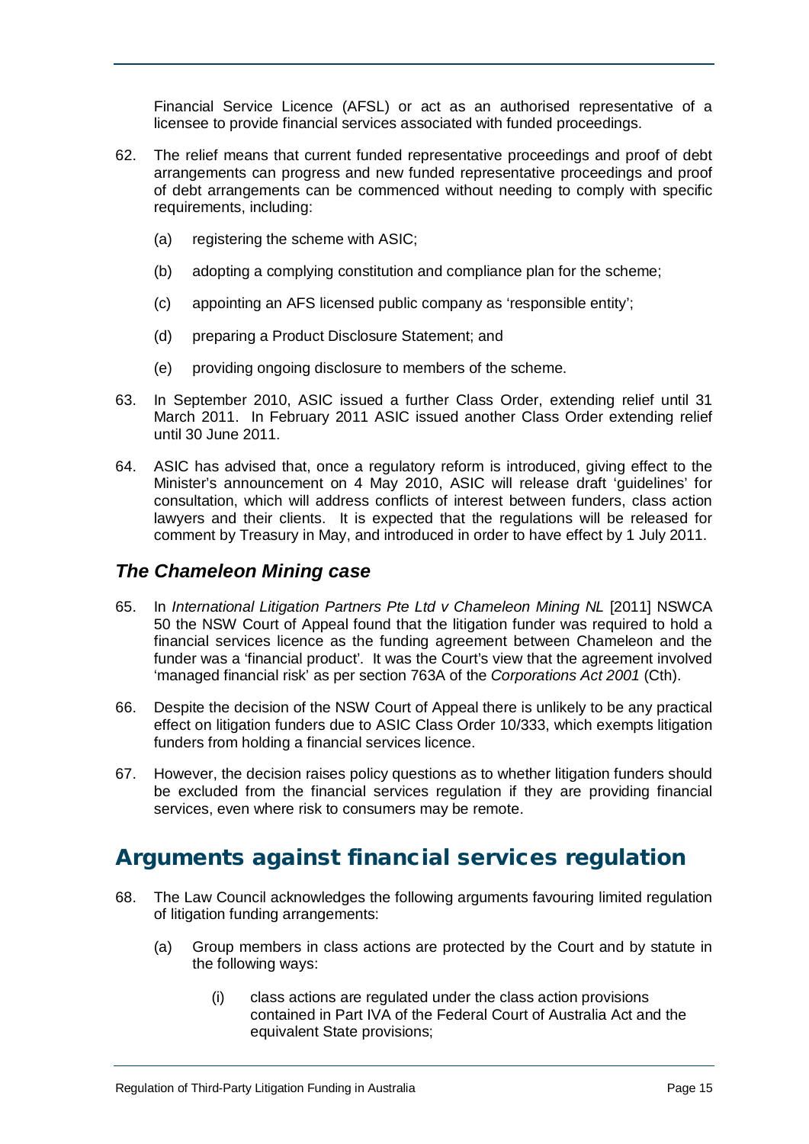Financial Service Licence (AFSL) or act as an authorised representative of a licensee to provide financial services associated with funded proceedings.

- 62. The relief means that current funded representative proceedings and proof of debt arrangements can progress and new funded representative proceedings and proof of debt arrangements can be commenced without needing to comply with specific requirements, including:
	- (a) registering the scheme with ASIC;
	- (b) adopting a complying constitution and compliance plan for the scheme;
	- (c) appointing an AFS licensed public company as 'responsible entity';
	- (d) preparing a Product Disclosure Statement; and
	- (e) providing ongoing disclosure to members of the scheme.
- 63. In September 2010, ASIC issued a further Class Order, extending relief until 31 March 2011. In February 2011 ASIC issued another Class Order extending relief until 30 June 2011.
- 64. ASIC has advised that, once a regulatory reform is introduced, giving effect to the Minister's announcement on 4 May 2010, ASIC will release draft 'guidelines' for consultation, which will address conflicts of interest between funders, class action lawyers and their clients. It is expected that the regulations will be released for comment by Treasury in May, and introduced in order to have effect by 1 July 2011.

## <span id="page-14-0"></span>*The Chameleon Mining case*

- 65. In *International Litigation Partners Pte Ltd v Chameleon Mining NL* [2011] NSWCA 50 the NSW Court of Appeal found that the litigation funder was required to hold a financial services licence as the funding agreement between Chameleon and the funder was a 'financial product'. It was the Court's view that the agreement involved 'managed financial risk' as per section 763A of the *Corporations Act 2001* (Cth).
- 66. Despite the decision of the NSW Court of Appeal there is unlikely to be any practical effect on litigation funders due to ASIC Class Order 10/333, which exempts litigation funders from holding a financial services licence.
- 67. However, the decision raises policy questions as to whether litigation funders should be excluded from the financial services regulation if they are providing financial services, even where risk to consumers may be remote.

## <span id="page-14-1"></span>Arguments against financial services regulation

- 68. The Law Council acknowledges the following arguments favouring limited regulation of litigation funding arrangements:
	- (a) Group members in class actions are protected by the Court and by statute in the following ways:
		- (i) class actions are regulated under the class action provisions contained in Part IVA of the Federal Court of Australia Act and the equivalent State provisions;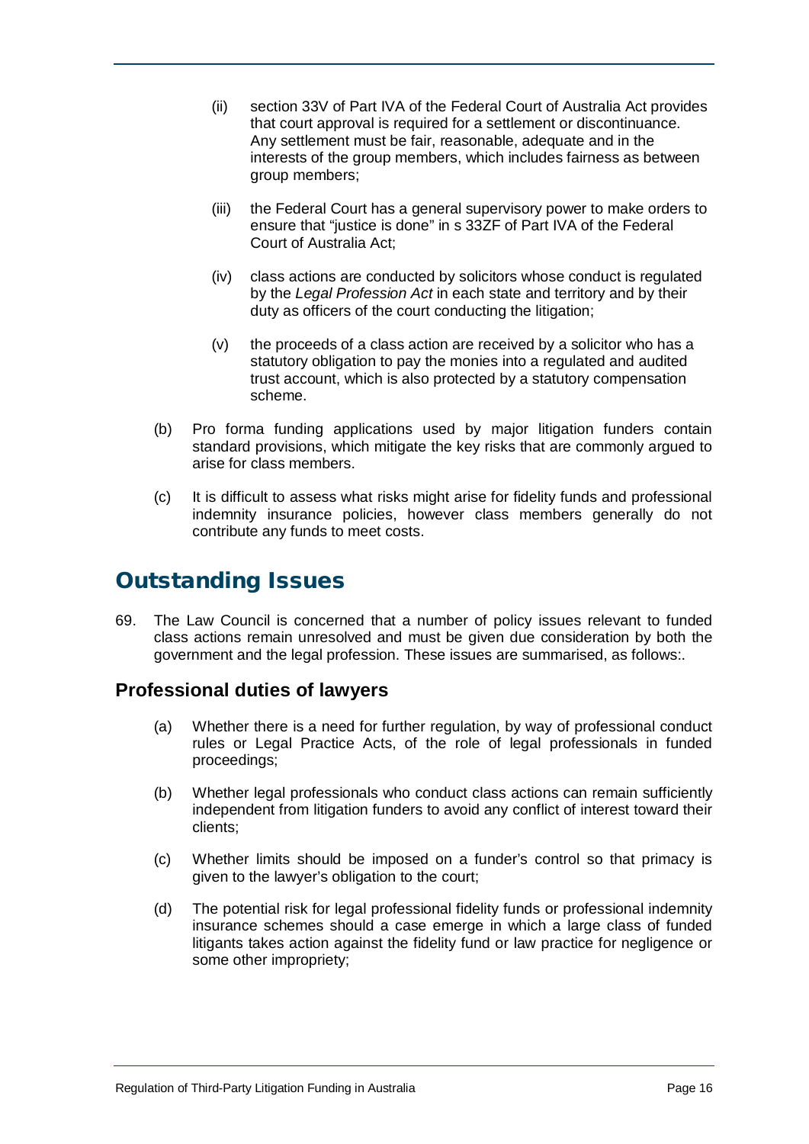- (ii) section 33V of Part IVA of the Federal Court of Australia Act provides that court approval is required for a settlement or discontinuance. Any settlement must be fair, reasonable, adequate and in the interests of the group members, which includes fairness as between group members;
- (iii) the Federal Court has a general supervisory power to make orders to ensure that "justice is done" in s 33ZF of Part IVA of the Federal Court of Australia Act;
- (iv) class actions are conducted by solicitors whose conduct is regulated by the *Legal Profession Act* in each state and territory and by their duty as officers of the court conducting the litigation;
- (v) the proceeds of a class action are received by a solicitor who has a statutory obligation to pay the monies into a regulated and audited trust account, which is also protected by a statutory compensation scheme.
- (b) Pro forma funding applications used by major litigation funders contain standard provisions, which mitigate the key risks that are commonly argued to arise for class members.
- (c) It is difficult to assess what risks might arise for fidelity funds and professional indemnity insurance policies, however class members generally do not contribute any funds to meet costs.

## <span id="page-15-0"></span>Outstanding Issues

69. The Law Council is concerned that a number of policy issues relevant to funded class actions remain unresolved and must be given due consideration by both the government and the legal profession. These issues are summarised, as follows:.

## <span id="page-15-1"></span>**Professional duties of lawyers**

- (a) Whether there is a need for further regulation, by way of professional conduct rules or Legal Practice Acts, of the role of legal professionals in funded proceedings;
- (b) Whether legal professionals who conduct class actions can remain sufficiently independent from litigation funders to avoid any conflict of interest toward their clients;
- (c) Whether limits should be imposed on a funder's control so that primacy is given to the lawyer's obligation to the court;
- (d) The potential risk for legal professional fidelity funds or professional indemnity insurance schemes should a case emerge in which a large class of funded litigants takes action against the fidelity fund or law practice for negligence or some other impropriety;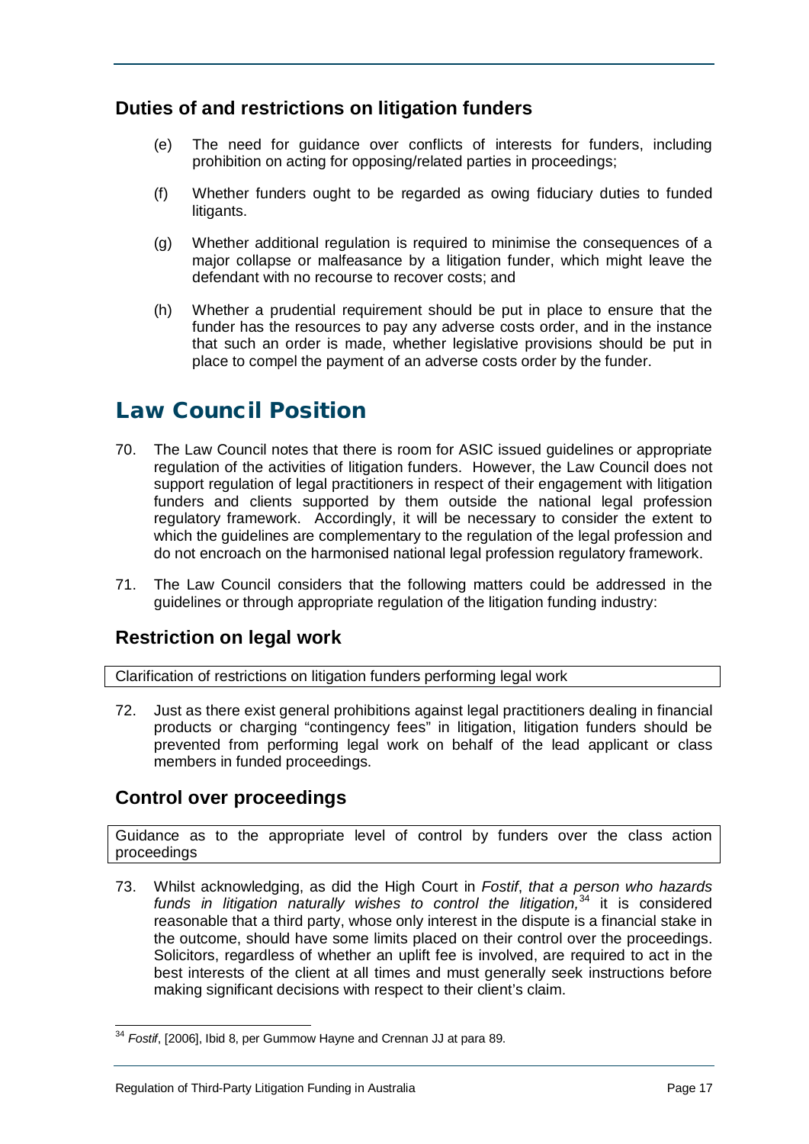## <span id="page-16-0"></span>**Duties of and restrictions on litigation funders**

- (e) The need for guidance over conflicts of interests for funders, including prohibition on acting for opposing/related parties in proceedings;
- (f) Whether funders ought to be regarded as owing fiduciary duties to funded litigants.
- (g) Whether additional regulation is required to minimise the consequences of a major collapse or malfeasance by a litigation funder, which might leave the defendant with no recourse to recover costs; and
- (h) Whether a prudential requirement should be put in place to ensure that the funder has the resources to pay any adverse costs order, and in the instance that such an order is made, whether legislative provisions should be put in place to compel the payment of an adverse costs order by the funder.

## <span id="page-16-1"></span>Law Council Position

- 70. The Law Council notes that there is room for ASIC issued guidelines or appropriate regulation of the activities of litigation funders. However, the Law Council does not support regulation of legal practitioners in respect of their engagement with litigation funders and clients supported by them outside the national legal profession regulatory framework. Accordingly, it will be necessary to consider the extent to which the guidelines are complementary to the regulation of the legal profession and do not encroach on the harmonised national legal profession regulatory framework.
- 71. The Law Council considers that the following matters could be addressed in the guidelines or through appropriate regulation of the litigation funding industry:

## <span id="page-16-2"></span>**Restriction on legal work**

Clarification of restrictions on litigation funders performing legal work

72. Just as there exist general prohibitions against legal practitioners dealing in financial products or charging "contingency fees" in litigation, litigation funders should be prevented from performing legal work on behalf of the lead applicant or class members in funded proceedings.

## <span id="page-16-3"></span>**Control over proceedings**

Guidance as to the appropriate level of control by funders over the class action proceedings

73. Whilst acknowledging, as did the High Court in *Fostif*, *that a person who hazards*  funds in litigation naturally wishes to control the litigation,<sup>[34](#page-16-4)</sup> it is considered reasonable that a third party, whose only interest in the dispute is a financial stake in the outcome, should have some limits placed on their control over the proceedings. Solicitors, regardless of whether an uplift fee is involved, are required to act in the best interests of the client at all times and must generally seek instructions before making significant decisions with respect to their client's claim.

<span id="page-16-4"></span> <sup>34</sup> *Fostif*, [2006], Ibid 8, per Gummow Hayne and Crennan JJ at para 89.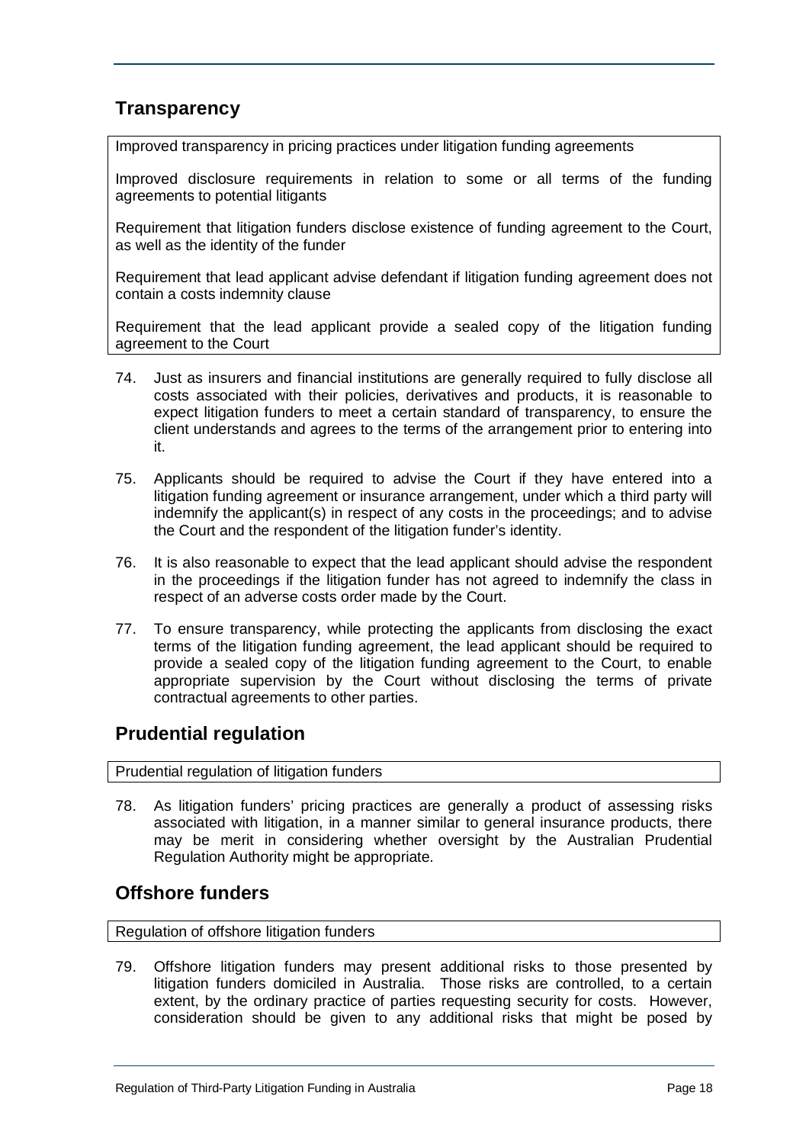## <span id="page-17-0"></span>**Transparency**

Improved transparency in pricing practices under litigation funding agreements

Improved disclosure requirements in relation to some or all terms of the funding agreements to potential litigants

Requirement that litigation funders disclose existence of funding agreement to the Court, as well as the identity of the funder

Requirement that lead applicant advise defendant if litigation funding agreement does not contain a costs indemnity clause

Requirement that the lead applicant provide a sealed copy of the litigation funding agreement to the Court

- 74. Just as insurers and financial institutions are generally required to fully disclose all costs associated with their policies, derivatives and products, it is reasonable to expect litigation funders to meet a certain standard of transparency, to ensure the client understands and agrees to the terms of the arrangement prior to entering into it.
- 75. Applicants should be required to advise the Court if they have entered into a litigation funding agreement or insurance arrangement, under which a third party will indemnify the applicant(s) in respect of any costs in the proceedings; and to advise the Court and the respondent of the litigation funder's identity.
- 76. It is also reasonable to expect that the lead applicant should advise the respondent in the proceedings if the litigation funder has not agreed to indemnify the class in respect of an adverse costs order made by the Court.
- 77. To ensure transparency, while protecting the applicants from disclosing the exact terms of the litigation funding agreement, the lead applicant should be required to provide a sealed copy of the litigation funding agreement to the Court, to enable appropriate supervision by the Court without disclosing the terms of private contractual agreements to other parties.

## <span id="page-17-1"></span>**Prudential regulation**

Prudential regulation of litigation funders

78. As litigation funders' pricing practices are generally a product of assessing risks associated with litigation, in a manner similar to general insurance products, there may be merit in considering whether oversight by the Australian Prudential Regulation Authority might be appropriate.

## <span id="page-17-2"></span>**Offshore funders**

Regulation of offshore litigation funders

79. Offshore litigation funders may present additional risks to those presented by litigation funders domiciled in Australia. Those risks are controlled, to a certain extent, by the ordinary practice of parties requesting security for costs. However, consideration should be given to any additional risks that might be posed by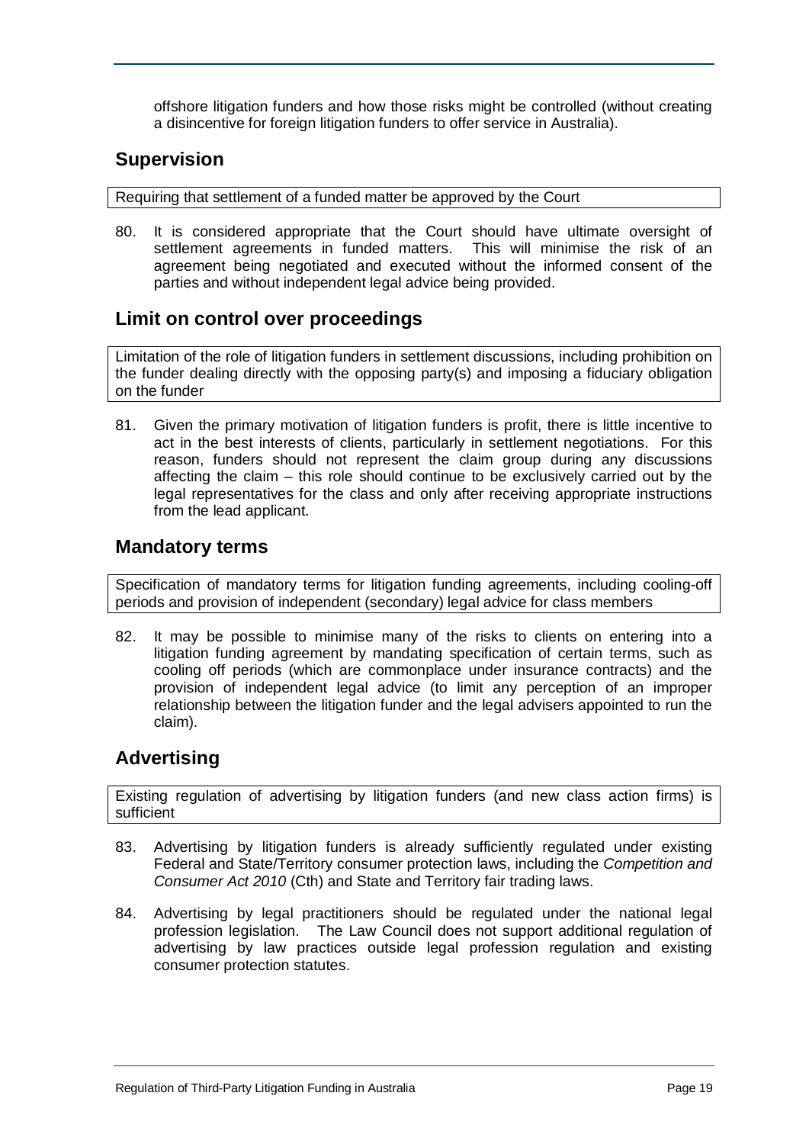offshore litigation funders and how those risks might be controlled (without creating a disincentive for foreign litigation funders to offer service in Australia).

## <span id="page-18-0"></span>**Supervision**

Requiring that settlement of a funded matter be approved by the Court

80. It is considered appropriate that the Court should have ultimate oversight of settlement agreements in funded matters. This will minimise the risk of an agreement being negotiated and executed without the informed consent of the parties and without independent legal advice being provided.

## <span id="page-18-1"></span>**Limit on control over proceedings**

Limitation of the role of litigation funders in settlement discussions, including prohibition on the funder dealing directly with the opposing party(s) and imposing a fiduciary obligation on the funder

81. Given the primary motivation of litigation funders is profit, there is little incentive to act in the best interests of clients, particularly in settlement negotiations. For this reason, funders should not represent the claim group during any discussions affecting the claim – this role should continue to be exclusively carried out by the legal representatives for the class and only after receiving appropriate instructions from the lead applicant.

#### <span id="page-18-2"></span>**Mandatory terms**

Specification of mandatory terms for litigation funding agreements, including cooling-off periods and provision of independent (secondary) legal advice for class members

82. It may be possible to minimise many of the risks to clients on entering into a litigation funding agreement by mandating specification of certain terms, such as cooling off periods (which are commonplace under insurance contracts) and the provision of independent legal advice (to limit any perception of an improper relationship between the litigation funder and the legal advisers appointed to run the claim).

## <span id="page-18-3"></span>**Advertising**

Existing regulation of advertising by litigation funders (and new class action firms) is sufficient

- 83. Advertising by litigation funders is already sufficiently regulated under existing Federal and State/Territory consumer protection laws, including the *Competition and Consumer Act 2010* (Cth) and State and Territory fair trading laws.
- 84. Advertising by legal practitioners should be regulated under the national legal profession legislation. The Law Council does not support additional regulation of advertising by law practices outside legal profession regulation and existing consumer protection statutes.